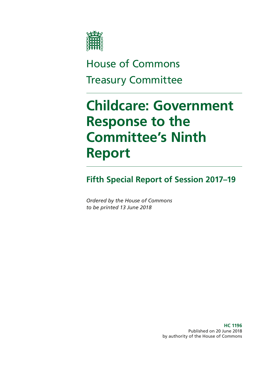

# House of Commons Treasury Committee

# **Childcare: Government Response to the Committee's Ninth Report**

# **Fifth Special Report of Session 2017–19**

*Ordered by the House of Commons to be printed 13 June 2018*

> **HC 1196** Published on 20 June 2018 by authority of the House of Commons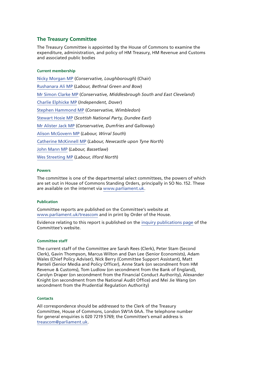#### **The Treasury Committee**

The Treasury Committee is appointed by the House of Commons to examine the expenditure, administration, and policy of HM Treasury, HM Revenue and Customs and associated public bodies

#### **Current membership**

[Nicky Morgan MP](https://www.parliament.uk/biographies/commons/nicky-morgan/4027) (*Conservative, Loughborough*) (Chair) [Rushanara Ali MP](https://www.parliament.uk/biographies/commons/rushanara-ali/4138) (*Labour, Bethnal Green and Bow*) [Mr Simon Clarke MP](https://www.parliament.uk/biographies/commons/mr-simon-clarke/4655) (*Conservative, Middlesbrough South and East Cleveland*) [Charlie Elphicke MP](https://www.parliament.uk/biographies/commons/charlie-elphicke/3971) (*Independent, Dover*) [Stephen Hammond MP](https://www.parliament.uk/biographies/commons/stephen-hammond/1585) (*Conservative, Wimbledon*) [Stewart Hosie MP](https://www.parliament.uk/biographies/commons/stewart-hosie/1514) (*Scottish National Party, Dundee East*) [Mr Alister Jack MP](https://www.parliament.uk/biographies/commons/mr-alister-jack/4619) (*Conservative, Dumfries and Galloway*) [Alison McGovern MP](https://www.parliament.uk/biographies/commons/alison-mcgovern/4083) (*Labour, Wirral South*) [Catherine McKinnell MP](https://www.parliament.uk/biographies/commons/catherine-mckinnell/4125) (*Labour, Newcastle upon Tyne North*) [John Mann MP](https://www.parliament.uk/biographies/commons/john-mann/1387) (*Labour, Bassetlaw*) [Wes Streeting MP](https://www.parliament.uk/biographies/commons/wes-streeting/4504) (*Labour, Ilford North*)

#### **Powers**

The committee is one of the departmental select committees, the powers of which are set out in House of Commons Standing Orders, principally in SO No.152. These are available on the internet via [www.parliament.uk.](http://www.parliament.uk/)

#### **Publication**

Committee reports are published on the Committee's website at [www.parliament.uk/treascom](http://www.parliament.uk/treascom) and in print by Order of the House.

Evidence relating to this report is published on the [inquiry publications page](https://www.parliament.uk/business/committees/committees-a-z/commons-select/treasury-committee/inquiries1/parliament-2017/childcare-17-19/publications/) of the Committee's website.

#### **Committee staff**

The current staff of the Committee are Sarah Rees (Clerk), Peter Stam (Second Clerk), Gavin Thompson, Marcus Wilton and Dan Lee (Senior Economists), Adam Wales (Chief Policy Adviser), Nick Berry (Committee Support Assistant), Matt Panteli (Senior Media and Policy Officer), Anne Stark (on secondment from HM Revenue & Customs), Tom Ludlow (on secondment from the Bank of England), Carolyn Draper (on secondment from the Financial Conduct Authority), Alexander Knight (on secondment from the National Audit Office) and Mei Jie Wang (on secondment from the Prudential Regulation Authority)

#### **Contacts**

All correspondence should be addressed to the Clerk of the Treasury Committee, House of Commons, London SW1A 0AA. The telephone number for general enquiries is 020 7219 5769; the Committee's email address is [treascom@parliament.uk](mailto:treascom%40parliament.uk?subject=).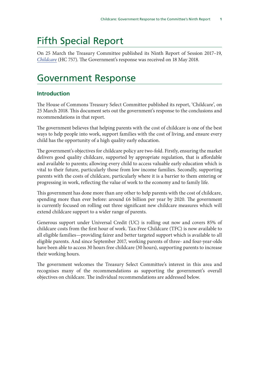# Fifth Special Report

On 25 March the Treasury Committee published its Ninth Report of Session 2017–19, *[Childcare](https://publications.parliament.uk/pa/cm201719/cmselect/cmtreasy/757/75702.htm)* (HC 757). The Government's response was received on 18 May 2018.

# Government Response

#### **Introduction**

The House of Commons Treasury Select Committee published its report, 'Childcare', on 25 March 2018. This document sets out the government's response to the conclusions and recommendations in that report.

The government believes that helping parents with the cost of childcare is one of the best ways to help people into work, support families with the cost of living, and ensure every child has the opportunity of a high quality early education.

The government's objectives for childcare policy are two-fold. Firstly, ensuring the market delivers good quality childcare, supported by appropriate regulation, that is affordable and available to parents; allowing every child to access valuable early education which is vital to their future, particularly those from low income families. Secondly, supporting parents with the costs of childcare, particularly where it is a barrier to them entering or progressing in work, reflecting the value of work to the economy and to family life.

This government has done more than any other to help parents with the cost of childcare, spending more than ever before: around £6 billion per year by 2020. The government is currently focused on rolling out three significant new childcare measures which will extend childcare support to a wider range of parents.

Generous support under Universal Credit (UC) is rolling out now and covers 85% of childcare costs from the first hour of work. Tax-Free Childcare (TFC) is now available to all eligible families—providing fairer and better targeted support which is available to all eligible parents. And since September 2017, working parents of three- and four-year-olds have been able to access 30 hours free childcare (30 hours), supporting parents to increase their working hours.

The government welcomes the Treasury Select Committee's interest in this area and recognises many of the recommendations as supporting the government's overall objectives on childcare. The individual recommendations are addressed below.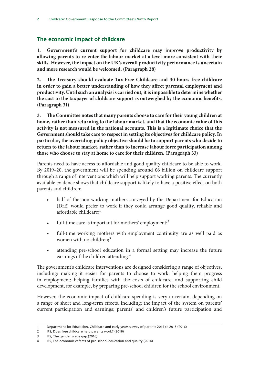## **The economic impact of childcare**

**1. Government's current support for childcare may improve productivity by allowing parents to re-enter the labour market at a level more consistent with their skills. However, the impact on the UK's overall productivity performance is uncertain and more research would be welcomed. (Paragraph 28)**

**2. The Treasury should evaluate Tax-Free Childcare and 30-hours free childcare in order to gain a better understanding of how they affect parental employment and productivity. Until such an analysis is carried out, it is impossible to determine whether the cost to the taxpayer of childcare support is outweighed by the economic benefits. (Paragraph 31)**

**3. The Committee notes that many parents choose to care for their young children at home, rather than returning to the labour market, and that the economic value of this activity is not measured in the national accounts. This is a legitimate choice that the Government should take care to respect in setting its objectives for childcare policy. In particular, the overriding policy objective should be to support parents who decide to return to the labour market, rather than to increase labour force participation among those who choose to stay at home to care for their children. (Paragraph 33)**

Parents need to have access to affordable and good quality childcare to be able to work. By 2019–20, the government will be spending around £6 billion on childcare support through a range of interventions which will help support working parents. The currently available evidence shows that childcare support is likely to have a positive effect on both parents and children:

- half of the non-working mothers surveyed by the Department for Education (DfE) would prefer to work if they could arrange good quality, reliable and affordable childcare;<sup>1</sup>
- full-time care is important for mothers' employment;<sup>2</sup>
- full-time working mothers with employment continuity are as well paid as women with no children;<sup>3</sup>
- attending pre-school education in a formal setting may increase the future earnings of the children attending.<sup>4</sup>

The government's childcare interventions are designed considering a range of objectives, including: making it easier for parents to choose to work; helping them progress in employment; helping families with the costs of childcare; and supporting child development, for example, by preparing pre-school children for the school environment.

However, the economic impact of childcare spending is very uncertain, depending on a range of short and long-term effects, including: the impact of the system on parents' current participation and earnings; parents' and children's future participation and

<sup>1</sup> Department for Education, Childcare and early years survey of parents 2014 to 2015 (2016)

<sup>2</sup> IFS, Does free childcare help parents work? (2016)

<sup>3</sup> IFS, The gender wage gap (2016)

<sup>4</sup> IFS, The economic effects of pre-school education and quality (2014)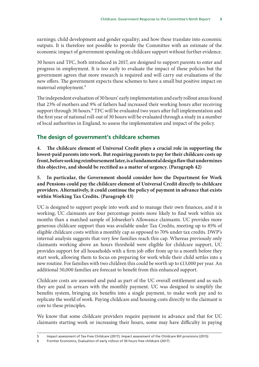earnings; child development and gender equality; and how these translate into economic outputs. It is therefore not possible to provide the Committee with an estimate of the economic impact of government spending on childcare support without further evidence.

30 hours and TFC, both introduced in 2017, are designed to support parents to enter and progress in employment. It is too early to evaluate the impact of these policies but the government agrees that more research is required and will carry out evaluations of the new offers. The government expects these schemes to have a small but positive impact on maternal employment.5

The independent evaluation of 30 hours' early implementation and early rollout areas found that 23% of mothers and 9% of fathers had increased their working hours after receiving support through 30 hours.<sup>6</sup> TFC will be evaluated two years after full implementation and the first year of national roll-out of 30 hours will be evaluated through a study in a number of local authorities in England, to assess the implementation and impact of the policy.

## **The design of government's childcare schemes**

**4. The childcare element of Universal Credit plays a crucial role in supporting the lowest-paid parents into work. But requiring parents to pay for their childcare costs up front, before seeking reimbursement later, is a fundamental design flaw that undermines this objective, and should be rectified as a matter of urgency. (Paragraph 42)**

**5. In particular, the Government should consider how the Department for Work and Pensions could pay the childcare element of Universal Credit directly to childcare providers. Alternatively, it could continue the policy of payment in advance that exists within Working Tax Credits. (Paragraph 43)**

UC is designed to support people into work and to manage their own finances, and it is working; UC claimants are four percentage points more likely to find work within six months than a matched sample of Jobseeker's Allowance claimants. UC provides more generous childcare support than was available under Tax Credits, meeting up to 85% of eligible childcare costs within a monthly cap as opposed to 70% under tax credits. DWP's internal analysis suggests that very few families reach this cap. Whereas previously only claimants working above an hours threshold were eligible for childcare support, UC provides support for all households with a firm job offer from up to a month before they start work, allowing them to focus on preparing for work while their child settles into a new routine. For families with two children this could be worth up to £13,000 per year. An additional 50,000 families are forecast to benefit from this enhanced support.

Childcare costs are assessed and paid as part of the UC overall entitlement and as such they are paid in arrears with the monthly payment. UC was designed to simplify the benefits system, bringing six benefits into a single payment, to make work pay and to replicate the world of work. Paying childcare and housing costs directly to the claimant is core to these principles.

We know that some childcare providers require payment in advance and that for UC claimants starting work or increasing their hours, some may have difficulty in paying

<sup>5</sup> Impact assessment of Tax-Free Childcare (2017); Impact assessment of the Childcare Bill provisions (2015)

<sup>6</sup> Frontier Economics, Evaluation of early rollout of 30 hours free childcare (2017)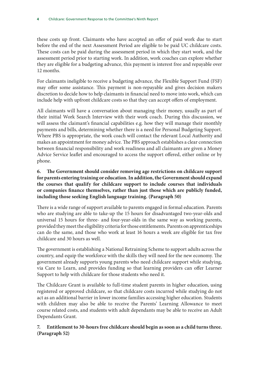these costs up front. Claimants who have accepted an offer of paid work due to start before the end of the next Assessment Period are eligible to be paid UC childcare costs. These costs can be paid during the assessment period in which they start work, and the assessment period prior to starting work. In addition, work coaches can explore whether they are eligible for a budgeting advance, this payment is interest free and repayable over 12 months.

For claimants ineligible to receive a budgeting advance, the Flexible Support Fund (FSF) may offer some assistance. This payment is non-repayable and gives decision makers discretion to decide how to help claimants in financial need to move into work, which can include help with upfront childcare costs so that they can accept offers of employment.

All claimants will have a conversation about managing their money, usually as part of their initial Work Search Interview with their work coach. During this discussion, we will assess the claimant's financial capabilities e.g. how they will manage their monthly payments and bills, determining whether there is a need for Personal Budgeting Support. Where PBS is appropriate, the work coach will contact the relevant Local Authority and makes an appointment for money advice. The PBS approach establishes a clear connection between financial responsibility and work readiness and all claimants are given a Money Advice Service leaflet and encouraged to access the support offered, either online or by phone.

### **6. The Government should consider removing age restrictions on childcare support for parents entering training or education. In addition, the Government should expand the courses that qualify for childcare support to include courses that individuals or companies finance themselves, rather than just those which are publicly funded, including those seeking English language training. (Paragraph 50)**

There is a wide range of support available to parents engaged in formal education. Parents who are studying are able to take-up the 15 hours for disadvantaged two-year-olds and universal 15 hours for three- and four-year-olds in the same way as working parents, provided they meet the eligibility criteria for those entitlements. Parents on apprenticeships can do the same, and those who work at least 16 hours a week are eligible for tax free childcare and 30 hours as well.

The government is establishing a National Retraining Scheme to support adults across the country, and equip the workforce with the skills they will need for the new economy. The government already supports young parents who need childcare support while studying, via Care to Learn, and provides funding so that learning providers can offer Learner Support to help with childcare for those students who need it.

The Childcare Grant is available to full-time student parents in higher education, using registered or approved childcare, so that childcare costs incurred while studying do not act as an additional barrier in lower income families accessing higher education. Students with children may also be able to receive the Parents' Learning Allowance to meet course related costs, and students with adult dependants may be able to receive an Adult Dependants Grant.

### **7. Entitlement to 30-hours free childcare should begin as soon as a child turns three. (Paragraph 52)**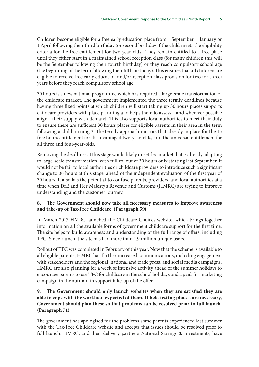Children become eligible for a free early education place from 1 September, 1 January or 1 April following their third birthday (or second birthday if the child meets the eligibility criteria for the free entitlement for two-year-olds). They remain entitled to a free place until they either start in a maintained school reception class (for many children this will be the September following their fourth birthday) or they reach compulsory school age (the beginning of the term following their fifth birthday). This ensures that all children are eligible to receive free early education and/or reception class provision for two (or three) years before they reach compulsory school age.

30 hours is a new national programme which has required a large-scale transformation of the childcare market. The government implemented the three termly deadlines because having three fixed points at which children will start taking up 30 hours places supports childcare providers with place planning and helps them to assess—and wherever possible align—their supply with demand. This also supports local authorities to meet their duty to ensure there are sufficient 30 hours places for eligible parents in their area in the term following a child turning 3. The termly approach mirrors that already in place for the 15 free hours entitlement for disadvantaged two-year-olds, and the universal entitlement for all three and four-year-olds.

Removing the deadlines at this stage would likely unsettle a market that is already adapting to large-scale transformation, with full rollout of 30 hours only starting last September. It would not be fair to local authorities or childcare providers to introduce such a significant change to 30 hours at this stage, ahead of the independent evaluation of the first year of 30 hours. It also has the potential to confuse parents, providers, and local authorities at a time when DfE and Her Majesty's Revenue and Customs (HMRC) are trying to improve understanding and the customer journey.

#### **8. The Government should now take all necessary measures to improve awareness and take-up of Tax-Free Childcare. (Paragraph 59)**

In March 2017 HMRC launched the Childcare Choices website, which brings together information on all the available forms of government childcare support for the first time. The site helps to build awareness and understanding of the full range of offers, including TFC. Since launch, the site has had more than 1.9 million unique users.

Rollout of TFC was completed in February of this year. Now that the scheme is available to all eligible parents, HMRC has further increased communications, including engagement with stakeholders and the regional, national and trade press, and social media campaigns. HMRC are also planning for a week of intensive activity ahead of the summer holidays to encourage parents to use TFC for childcare in the school holidays and a paid-for marketing campaign in the autumn to support take-up of the offer.

#### **9. The Government should only launch websites when they are satisfied they are able to cope with the workload expected of them. If beta testing phases are necessary, Government should plan these so that problems can be resolved prior to full launch. (Paragraph 71)**

The government has apologised for the problems some parents experienced last summer with the Tax-Free Childcare website and accepts that issues should be resolved prior to full launch. HMRC, and their delivery partners National Savings & Investments, have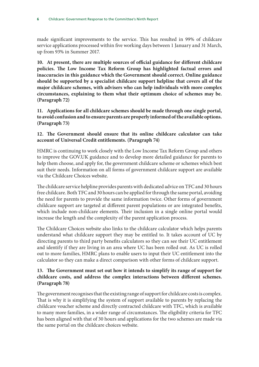made significant improvements to the service. This has resulted in 99% of childcare service applications processed within five working days between 1 January and 31 March, up from 93% in Summer 2017.

**10. At present, there are multiple sources of official guidance for different childcare policies. The Low Income Tax Reform Group has highlighted factual errors and inaccuracies in this guidance which the Government should correct. Online guidance should be supported by a specialist childcare support helpline that covers all of the major childcare schemes, with advisers who can help individuals with more complex circumstances, explaining to them what their optimum choice of schemes may be. (Paragraph 72)**

**11. Applications for all childcare schemes should be made through one single portal, to avoid confusion and to ensure parents are properly informed of the available options. (Paragraph 73)**

#### **12. The Government should ensure that its online childcare calculator can take account of Universal Credit entitlements. (Paragraph 74)**

HMRC is continuing to work closely with the Low Income Tax Reform Group and others to improve the GOV.UK guidance and to develop more detailed guidance for parents to help them choose, and apply for, the government childcare scheme or schemes which best suit their needs. Information on all forms of government childcare support are available via the Childcare Choices website.

The childcare service helpline provides parents with dedicated advice on TFC and 30 hours free childcare. Both TFC and 30 hours can be applied for through the same portal, avoiding the need for parents to provide the same information twice. Other forms of government childcare support are targeted at different parent populations or are integrated benefits, which include non-childcare elements. Their inclusion in a single online portal would increase the length and the complexity of the parent application process.

The Childcare Choices website also links to the childcare calculator which helps parents understand what childcare support they may be entitled to. It takes account of UC by directing parents to third party benefits calculators so they can see their UC entitlement and identify if they are living in an area where UC has been rolled out. As UC is rolled out to more families, HMRC plans to enable users to input their UC entitlement into the calculator so they can make a direct comparison with other forms of childcare support.

#### **13. The Government must set out how it intends to simplify its range of support for childcare costs, and address the complex interactions between different schemes. (Paragraph 78)**

The government recognises that the existing range of support for childcare costs is complex. That is why it is simplifying the system of support available to parents by replacing the childcare voucher scheme and directly contracted childcare with TFC, which is available to many more families, in a wider range of circumstances. The eligibility criteria for TFC has been aligned with that of 30 hours and applications for the two schemes are made via the same portal on the childcare choices website.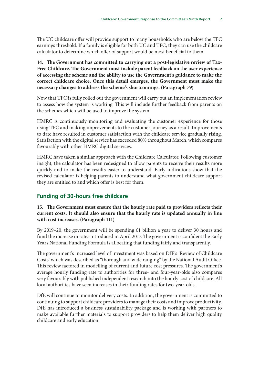The UC childcare offer will provide support to many households who are below the TFC earnings threshold. If a family is eligible for both UC and TFC, they can use the childcare calculator to determine which offer of support would be most beneficial to them.

#### **14. The Government has committed to carrying out a post-legislative review of Tax-Free Childcare. The Government must include parent feedback on the user experience of accessing the scheme and the ability to use the Government's guidance to make the correct childcare choice. Once this detail emerges, the Government must make the necessary changes to address the scheme's shortcomings. (Paragraph 79)**

Now that TFC is fully rolled out the government will carry out an implementation review to assess how the system is working. This will include further feedback from parents on the schemes which will be used to improve the system.

HMRC is continuously monitoring and evaluating the customer experience for those using TFC and making improvements to the customer journey as a result. Improvements to date have resulted in customer satisfaction with the childcare service gradually rising. Satisfaction with the digital service has exceeded 80% throughout March, which compares favourably with other HMRC digital services.

HMRC have taken a similar approach with the Childcare Calculator. Following customer insight, the calculator has been redesigned to allow parents to receive their results more quickly and to make the results easier to understand. Early indications show that the revised calculator is helping parents to understand what government childcare support they are entitled to and which offer is best for them.

## **Funding of 30-hours free childcare**

#### **15. The Government must ensure that the hourly rate paid to providers reflects their current costs. It should also ensure that the hourly rate is updated annually in line with cost increases. (Paragraph 111)**

By 2019–20, the government will be spending £1 billion a year to deliver 30 hours and fund the increase in rates introduced in April 2017. The government is confident the Early Years National Funding Formula is allocating that funding fairly and transparently.

The government's increased level of investment was based on DfE's 'Review of Childcare Costs' which was described as "thorough and wide ranging" by the National Audit Office. This review factored in modelling of current and future cost pressures. The government's average hourly funding rate to authorities for three- and four-year-olds also compares very favourably with published independent research into the hourly cost of childcare. All local authorities have seen increases in their funding rates for two-year-olds.

DfE will continue to monitor delivery costs. In addition, the government is committed to continuing to support childcare providers to manage their costs and improve productivity. DfE has introduced a business sustainability package and is working with partners to make available further materials to support providers to help them deliver high quality childcare and early education.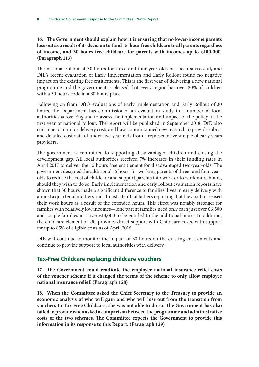### **16. The Government should explain how it is ensuring that no lower-income parents lose out as a result of its decision to fund 15-hour free childcare to all parents regardless of income, and 30-hours free childcare for parents with incomes up to £100,000. (Paragraph 113)**

The national rollout of 30 hours for three and four year-olds has been successful, and DfE's recent evaluation of Early Implementation and Early Rollout found no negative impact on the existing free entitlements. This is the first year of delivering a new national programme and the government is pleased that every region has over 80% of children with a 30 hours code in a 30 hours place.

Following on from DfE's evaluations of Early Implementation and Early Rollout of 30 hours, the Department has commissioned an evaluation study in a number of local authorities across England to assess the implementation and impact of the policy in the first year of national rollout. The report will be published in September 2018. DfE also continue to monitor delivery costs and have commissioned new research to provide robust and detailed cost data of under five-year-olds from a representative sample of early years providers.

The government is committed to supporting disadvantaged children and closing the development gap. All local authorities received 7% increases in their funding rates in April 2017 to deliver the 15 hours free entitlement for disadvantaged two-year-olds. The government designed the additional 15 hours for working parents of three- and four-yearolds to reduce the cost of childcare and support parents into work or to work more hours, should they wish to do so. Early implementation and early rollout evaluation reports have shown that 30 hours made a significant difference to families' lives in early delivery with almost a quarter of mothers and almost a tenth of fathers reporting that they had increased their work hours as a result of the extended hours. This effect was notably stronger for families with relatively low incomes—lone parent families need only earn just over £6,500 and couple families just over £13,000 to be entitled to the additional hours. In addition, the childcare element of UC provides direct support with Childcare costs, with support for up to 85% of eligible costs as of April 2016.

DfE will continue to monitor the impact of 30 hours on the existing entitlements and continue to provide support to local authorities with delivery.

## **Tax-Free Childcare replacing childcare vouchers**

**17. The Government could eradicate the employer national insurance relief costs of the voucher scheme if it changed the terms of the scheme to only allow employee national insurance relief. (Paragraph 128)**

**18. When the Committee asked the Chief Secretary to the Treasury to provide an economic analysis of who will gain and who will lose out from the transition from vouchers to Tax-Free Childcare, she was not able to do so. The Government has also failed to provide when asked a comparison between the programme and administrative costs of the two schemes. The Committee expects the Government to provide this information in its response to this Report. (Paragraph 129)**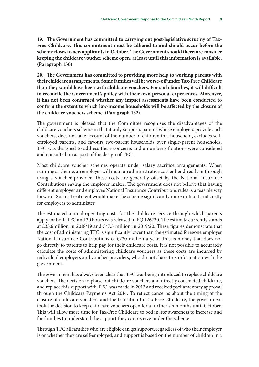**19. The Government has committed to carrying out post-legislative scrutiny of Tax-Free Childcare. This commitment must be adhered to and should occur before the scheme closes to new applicants in October. The Government should therefore consider keeping the childcare voucher scheme open, at least until this information is available. (Paragraph 130)**

**20. The Government has committed to providing more help to working parents with their childcare arrangements. Some families will be worse-off under Tax-Free Childcare than they would have been with childcare vouchers. For such families, it will difficult to reconcile the Government's policy with their own personal experiences. Moreover, it has not been confirmed whether any impact assessments have been conducted to confirm the extent to which low-income households will be affected by the closure of the childcare vouchers scheme. (Paragraph 132)**

The government is pleased that the Committee recognises the disadvantages of the childcare vouchers scheme in that it only supports parents whose employers provide such vouchers, does not take account of the number of children in a household, excludes selfemployed parents, and favours two-parent households over single-parent households. TFC was designed to address these concerns and a number of options were considered and consulted on as part of the design of TFC.

Most childcare voucher schemes operate under salary sacrifice arrangements. When running a scheme, an employer will incur an administrative cost either directly or through using a voucher provider. These costs are generally offset by the National Insurance Contributions saving the employer makes. The government does not believe that having different employer and employee National Insurance Contributions rules is a feasible way forward. Such a treatment would make the scheme significantly more difficult and costly for employers to administer.

The estimated annual operating costs for the childcare service through which parents apply for both TFC and 30 hours was released in PQ 126730. The estimate currently stands at £35.6million in 2018/19 and £47.5 million in 2019/20. These figures demonstrate that the cost of administering TFC is significantly lower than the estimated foregone employer National Insurance Contributions of £220 million a year. This is money that does not go directly to parents to help pay for their childcare costs. It is not possible to accurately calculate the costs of administering childcare vouchers as these costs are incurred by individual employers and voucher providers, who do not share this information with the government.

The government has always been clear that TFC was being introduced to replace childcare vouchers. The decision to phase out childcare vouchers and directly contracted childcare, and replace this support with TFC, was made in 2013 and received parliamentary approval through the Childcare Payments Act 2014. To reflect concerns about the timing of the closure of childcare vouchers and the transition to Tax-Free Childcare, the government took the decision to keep childcare vouchers open for a further six months until October. This will allow more time for Tax-Free Childcare to bed in, for awareness to increase and for families to understand the support they can receive under the scheme.

Through TFC all families who are eligible can get support, regardless of who their employer is or whether they are self-employed, and support is based on the number of children in a